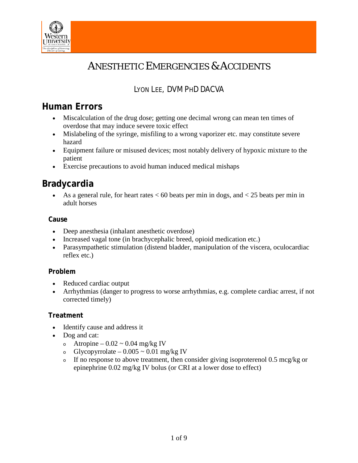

# ANESTHETIC EMERGENCIES & ACCIDENTS

# LYON LEE, DVM PHD DACVA

# **Human Errors**

- Miscalculation of the drug dose; getting one decimal wrong can mean ten times of overdose that may induce severe toxic effect
- Mislabeling of the syringe, misfiling to a wrong vaporizer etc. may constitute severe hazard
- Equipment failure or misused devices; most notably delivery of hypoxic mixture to the patient
- Exercise precautions to avoid human induced medical mishaps

# **Bradycardia**

• As a general rule, for heart rates  $< 60$  beats per min in dogs, and  $< 25$  beats per min in adult horses

### **Cause**

- Deep anesthesia (inhalant anesthetic overdose)
- Increased vagal tone (in brachycephalic breed, opioid medication etc.)
- Parasympathetic stimulation (distend bladder, manipulation of the viscera, oculocardiac reflex etc.)

## **Problem**

- Reduced cardiac output
- Arrhythmias (danger to progress to worse arrhythmias, e.g. complete cardiac arrest, if not corrected timely)

## **Treatment**

- Identify cause and address it
- Dog and cat:
	- $\circ$  Atropine 0.02 ~ 0.04 mg/kg IV
	- o Glycopyrrolate  $0.005 \approx 0.01$  mg/kg IV
	- <sup>o</sup> If no response to above treatment, then consider giving isoproterenol 0.5 mcg/kg or epinephrine 0.02 mg/kg IV bolus (or CRI at a lower dose to effect)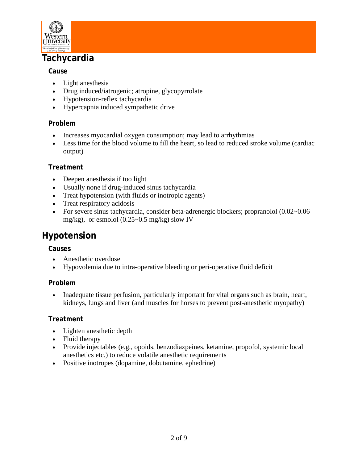

# **Tachycardia**

## **Cause**

- Light anesthesia
- Drug induced/iatrogenic; atropine, glycopyrrolate
- Hypotension-reflex tachycardia
- Hypercapnia induced sympathetic drive

# **Problem**

- Increases myocardial oxygen consumption; may lead to arrhythmias
- Less time for the blood volume to fill the heart, so lead to reduced stroke volume (cardiac output)

# **Treatment**

- Deepen anesthesia if too light
- Usually none if drug-induced sinus tachycardia
- Treat hypotension (with fluids or inotropic agents)
- Treat respiratory acidosis
- For severe sinus tachycardia, consider beta-adrenergic blockers; propranolol  $(0.02\negthinspace\negthinspace\sim0.06$ mg/kg), or esmolol (0.25~0.5 mg/kg) slow IV

# **Hypotension**

## **Causes**

- Anesthetic overdose
- Hypovolemia due to intra-operative bleeding or peri-operative fluid deficit

## **Problem**

• Inadequate tissue perfusion, particularly important for vital organs such as brain, heart, kidneys, lungs and liver (and muscles for horses to prevent post-anesthetic myopathy)

## **Treatment**

- Lighten anesthetic depth
- Fluid therapy
- Provide injectables (e.g., opoids, benzodiazpeines, ketamine, propofol, systemic local anesthetics etc.) to reduce volatile anesthetic requirements
- Positive inotropes (dopamine, dobutamine, ephedrine)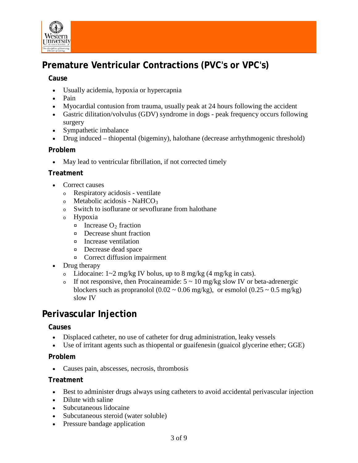

# **Premature Ventricular Contractions (PVC's or VPC's)**

### **Cause**

- Usually acidemia, hypoxia or hypercapnia
- Pain
- Myocardial contusion from trauma, usually peak at 24 hours following the accident
- Gastric dilitation/volvulus (GDV) syndrome in dogs peak frequency occurs following surgery
- Sympathetic imbalance
- Drug induced thiopental (bigeminy), halothane (decrease arrhythmogenic threshold)

### **Problem**

• May lead to ventricular fibrillation, if not corrected timely

### **Treatment**

- Correct causes
	- <sup>o</sup> Respiratory acidosis ventilate
	- $\circ$  Metabolic acidosis NaHCO<sub>3</sub>
	- <sup>o</sup> Switch to isoflurane or sevoflurane from halothane
	- <sup>o</sup> Hypoxia
		- $\infty$  Increase O<sub>2</sub> fraction
		- ¤ Decrease shunt fraction
		- ¤ Increase ventilation
		- ¤ Decrease dead space
		- ¤ Correct diffusion impairment
- Drug therapy
	- o Lidocaine:  $1\approx 2$  mg/kg IV bolus, up to 8 mg/kg  $(4 \text{ mg/kg in cats})$ .
	- If not responsive, then Procaineamide:  $5 \sim 10$  mg/kg slow IV or beta-adrenergic blockers such as propranolol (0.02  $\sim$  0.06 mg/kg), or esmolol (0.25  $\sim$  0.5 mg/kg) slow IV

# **Perivascular Injection**

### **Causes**

- Displaced catheter, no use of catheter for drug administration, leaky vessels
- Use of irritant agents such as thiopental or guaifenesin (guaicol glycerine ether; GGE)

### **Problem**

• Causes pain, abscesses, necrosis, thrombosis

### **Treatment**

- Best to administer drugs always using catheters to avoid accidental perivascular injection
- Dilute with saline
- Subcutaneous lidocaine
- Subcutaneous steroid (water soluble)
- Pressure bandage application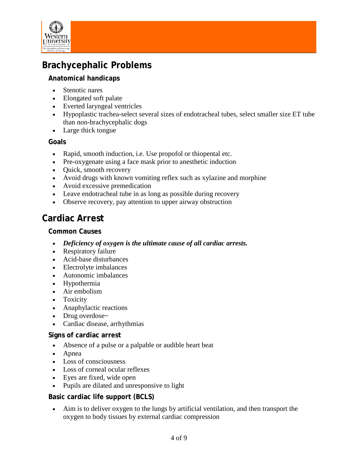

# **Brachycephalic Problems**

## **Anatomical handicaps**

- Stenotic nares
- Elongated soft palate
- Everted laryngeal ventricles
- Hypoplastic trachea-select several sizes of endotracheal tubes, select smaller size ET tube than non-brachycephalic dogs
- Large thick tongue

### **Goals**

- Rapid, smooth induction, i.e. Use propofol or thiopental etc.
- Pre-oxygenate using a face mask prior to anesthetic induction
- Quick, smooth recovery
- Avoid drugs with known vomiting reflex such as xylazine and morphine
- Avoid excessive premedication
- Leave endotracheal tube in as long as possible during recovery
- Observe recovery, pay attention to upper airway obstruction

# **Cardiac Arrest**

### **Common Causes**

- *Deficiency of oxygen is the ultimate cause of all cardiac arrests.*
- Respiratory failure
- Acid-base disturbances
- Electrolyte imbalances
- Autonomic imbalances
- Hypothermia
- Air embolism
- Toxicity
- Anaphylactic reactions
- Drug overdose~
- Cardiac disease, arrhythmias

### **Signs of cardiac arrest**

- Absence of a pulse or a palpable or audible heart beat
- Apnea
- Loss of consciousness
- Loss of corneal ocular reflexes
- Eyes are fixed, wide open
- Pupils are dilated and unresponsive to light

## **Basic cardiac life support (BCLS)**

• Aim is to deliver oxygen to the lungs by artificial ventilation, and then transport the oxygen to body tissues by external cardiac compression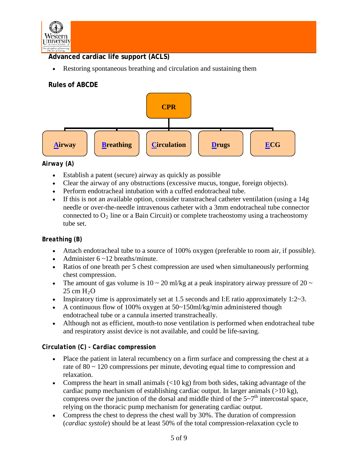

## **Advanced cardiac life support (ACLS)**

• Restoring spontaneous breathing and circulation and sustaining them

# **Rules of ABCDE**



## *Airway (A)*

- Establish a patent (secure) airway as quickly as possible
- Clear the airway of any obstructions (excessive mucus, tongue, foreign objects).
- Perform endotracheal intubation with a cuffed endotracheal tube.
- If this is not an available option, consider transtracheal catheter ventilation (using a 14g) needle or over-the-needle intravenous catheter with a 3mm endotracheal tube connector connected to  $O_2$  line or a Bain Circuit) or complete tracheostomy using a tracheostomy tube set.

### *Breathing (B)*

- Attach endotracheal tube to a source of 100% oxygen (preferable to room air, if possible).
- Administer  $6 \sim 12$  breaths/minute.
- Ratios of one breath per 5 chest compression are used when simultaneously performing chest compression.
- The amount of gas volume is  $10 \sim 20$  ml/kg at a peak inspiratory airway pressure of  $20 \sim$  $25 \text{ cm H}_2\text{O}$
- Inspiratory time is approximately set at 1.5 seconds and I:E ratio approximately  $1:2 \sim 3$ .
- A continuous flow of 100% oxygen at  $50~150$ ml/kg/min administered though endotracheal tube or a cannula inserted transtracheally.
- Although not as efficient, mouth-to nose ventilation is performed when endotracheal tube and respiratory assist device is not available, and could be life-saving.

### *Circulation (C) - Cardiac compression*

- Place the patient in lateral recumbency on a firm surface and compressing the chest at a rate of 80 ~ 120 compressions per minute, devoting equal time to compression and relaxation.
- Compress the heart in small animals  $\left($ <10 kg) from both sides, taking advantage of the cardiac pump mechanism of establishing cardiac output. In larger animals  $(>10 \text{ kg})$ , compress over the junction of the dorsal and middle third of the  $5\neg$ <sup>th</sup> intercostal space, relying on the thoracic pump mechanism for generating cardiac output.
- Compress the chest to depress the chest wall by 30%. The duration of compression (*cardiac systole*) should be at least 50% of the total compression-relaxation cycle to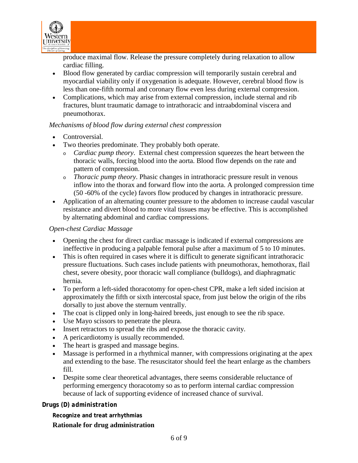

produce maximal flow. Release the pressure completely during relaxation to allow cardiac filling.

- Blood flow generated by cardiac compression will temporarily sustain cerebral and myocardial viability only if oxygenation is adequate. However, cerebral blood flow is less than one-fifth normal and coronary flow even less during external compression.
- Complications, which may arise from external compression, include sternal and rib fractures, blunt traumatic damage to intrathoracic and intraabdominal viscera and pneumothorax.

### *Mechanisms of blood flow during external chest compression*

- Controversial.
- Two theories predominate. They probably both operate.
	- <sup>o</sup> *Cardiac pump theory*. External chest compression squeezes the heart between the thoracic walls, forcing blood into the aorta. Blood flow depends on the rate and pattern of compression.
	- <sup>o</sup> *Thoracic pump theory*. Phasic changes in intrathoracic pressure result in venous inflow into the thorax and forward flow into the aorta. A prolonged compression time (50 -60% of the cycle) favors flow produced by changes in intrathoracic pressure.
- Application of an alternating counter pressure to the abdomen to increase caudal vascular resistance and divert blood to more vital tissues may be effective. This is accomplished by alternating abdominal and cardiac compressions.

### *Open-chest Cardiac Massage*

- Opening the chest for direct cardiac massage is indicated if external compressions are ineffective in producing a palpable femoral pulse after a maximum of 5 to 10 minutes.
- This is often required in cases where it is difficult to generate significant intrathoracic pressure fluctuations. Such cases include patients with pneumothorax, hemothorax, flail chest, severe obesity, poor thoracic wall compliance (bulldogs), and diaphragmatic hernia.
- To perform a left-sided thoracotomy for open-chest CPR, make a left sided incision at approximately the fifth or sixth intercostal space, from just below the origin of the ribs dorsally to just above the sternum ventrally.
- The coat is clipped only in long-haired breeds, just enough to see the rib space.
- Use Mayo scissors to penetrate the pleura.
- Insert retractors to spread the ribs and expose the thoracic cavity.
- A pericardiotomy is usually recommended.
- The heart is grasped and massage begins.
- Massage is performed in a rhythmical manner, with compressions originating at the apex and extending to the base. The resuscitator should feel the heart enlarge as the chambers fill.
- Despite some clear theoretical advantages, there seems considerable reluctance of performing emergency thoracotomy so as to perform internal cardiac compression because of lack of supporting evidence of increased chance of survival.

### *Drugs (D) administration*

**Recognize and treat arrhythmias**

### **Rationale for drug administration**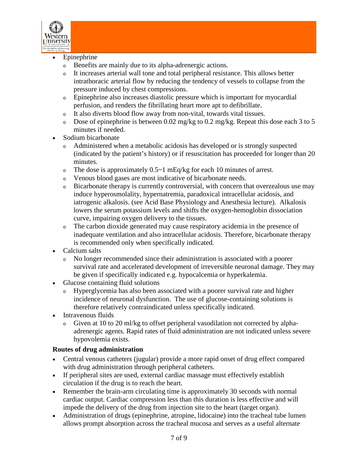

- **Epinephrine** 
	- <sup>o</sup> Benefits are mainly due to its alpha-adrenergic actions.
	- <sup>o</sup> It increases arterial wall tone and total peripheral resistance. This allows better intrathoracic arterial flow by reducing the tendency of vessels to collapse from the pressure induced by chest compressions.
	- <sup>o</sup> Epinephrine also increases diastolic pressure which is important for myocardial perfusion, and renders the fibrillating heart more apt to defibrillate.
	- <sup>o</sup> It also diverts blood flow away from non-vital, towards vital tissues.
	- Dose of epinephrine is between  $0.02 \text{ mg/kg}$  to  $0.2 \text{ mg/kg}$ . Repeat this dose each 3 to 5 minutes if needed.
- Sodium bicarbonate
	- Administered when a metabolic acidosis has developed or is strongly suspected (indicated by the patient's history) or if resuscitation has proceeded for longer than 20 minutes.
	- $\circ$  The dose is approximately 0.5~1 mEq/kg for each 10 minutes of arrest.
	- <sup>o</sup> Venous blood gases are most indicative of bicarbonate needs.
	- <sup>o</sup> Bicarbonate therapy is currently controversial, with concern that overzealous use may induce hyperosmolality, hypernatremia, paradoxical intracellular acidosis, and iatrogenic alkalosis. (see Acid Base Physiology and Anesthesia lecture). Alkalosis lowers the serum potassium levels and shifts the oxygen-hemoglobin dissociation curve, impairing oxygen delivery to the tissues.
	- <sup>o</sup> The carbon dioxide generated may cause respiratory acidemia in the presence of inadequate ventilation and also intracellular acidosis. Therefore, bicarbonate therapy is recommended only when specifically indicated.
- Calcium salts
	- <sup>o</sup> No longer recommended since their administration is associated with a poorer survival rate and accelerated development of irreversible neuronal damage. They may be given if specifically indicated e.g. hypocalcemia or hyperkalemia.
- Glucose containing fluid solutions
	- <sup>o</sup> Hyperglycemia has also been associated with a poorer survival rate and higher incidence of neuronal dysfunction. The use of glucose-containing solutions is therefore relatively contraindicated unless specifically indicated.
- Intravenous fluids
	- <sup>o</sup> Given at 10 to 20 ml/kg to offset peripheral vasodilation not corrected by alphaadrenergic agents. Rapid rates of fluid administration are not indicated unless severe hypovolemia exists.

## **Routes of drug administration**

- Central venous catheters (jugular) provide a more rapid onset of drug effect compared with drug administration through peripheral catheters.
- If peripheral sites are used, external cardiac massage must effectively establish circulation if the drug is to reach the heart.
- Remember the brain-arm circulating time is approximately 30 seconds with normal cardiac output. Cardiac compression less than this duration is less effective and will impede the delivery of the drug from injection site to the heart (target organ).
- Administration of drugs (epinephrine, atropine, lidocaine) into the tracheal tube lumen allows prompt absorption across the tracheal mucosa and serves as a useful alternate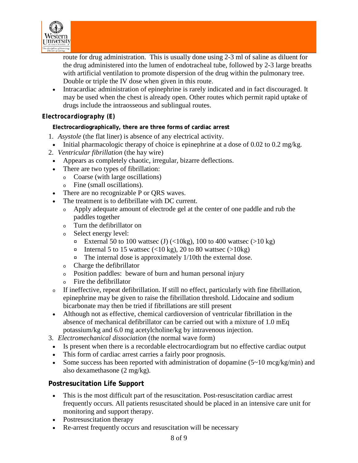

route for drug administration. This is usually done using 2-3 ml of saline as diluent for the drug administered into the lumen of endotracheal tube, followed by 2-3 large breaths with artificial ventilation to promote dispersion of the drug within the pulmonary tree. Double or triple the IV dose when given in this route.

• Intracardiac administration of epinephrine is rarely indicated and in fact discouraged. It may be used when the chest is already open. Other routes which permit rapid uptake of drugs include the intraosseous and sublingual routes.

### *Electrocardiography (E)*

**Electrocardiographically, there are three forms of cardiac arrest**

- 1. *Asystole* (the flat liner) is absence of any electrical activity.
- Initial pharmacologic therapy of choice is epinephrine at a dose of  $0.02$  to  $0.2$  mg/kg.
- 2. *Ventricular fibrillation* (the hay wire)
	- Appears as completely chaotic, irregular, bizarre deflections.
	- There are two types of fibrillation:
		- <sup>o</sup> Coarse (with large oscillations)
		- <sup>o</sup> Fine (small oscillations).
	- There are no recognizable P or ORS waves.
	- The treatment is to defibrillate with DC current.
		- <sup>o</sup> Apply adequate amount of electrode gel at the center of one paddle and rub the paddles together
		- <sup>o</sup> Turn the defibrillator on
		- <sup>o</sup> Select energy level:
			- $\alpha$  External 50 to 100 wattsec (J) (<10kg), 100 to 400 wattsec (>10 kg)
			- $\alpha$  Internal 5 to 15 wattsec (<10 kg), 20 to 80 wattsec (>10 kg)
			- $\infty$  The internal dose is approximately 1/10th the external dose.
		- <sup>o</sup> Charge the defibrillator
		- <sup>o</sup> Position paddles: beware of burn and human personal injury
		- Fire the defibrillator
	- <sup>o</sup> If ineffective, repeat defibrillation. If still no effect, particularly with fine fibrillation, epinephrine may be given to raise the fibrillation threshold. Lidocaine and sodium bicarbonate may then be tried if fibrillations are still present
	- Although not as effective, chemical cardioversion of ventricular fibrillation in the absence of mechanical defibrillator can be carried out with a mixture of 1.0 mEq potassium/kg and 6.0 mg acetylcholine/kg by intravenous injection.
- 3. *Electromechanical dissociation* (the normal wave form)
	- Is present when there is a recordable electrocardiogram but no effective cardiac output
	- This form of cardiac arrest carries a fairly poor prognosis.
	- Some success has been reported with administration of dopamine  $(5-10 \text{~mcg/kg/min})$  and also dexamethasone (2 mg/kg).

### **Postresucitation Life Support**

- This is the most difficult part of the resuscitation. Post-resuscitation cardiac arrest frequently occurs. All patients resuscitated should be placed in an intensive care unit for monitoring and support therapy.
- Postresuscitation therapy
- Re-arrest frequently occurs and resuscitation will be necessary